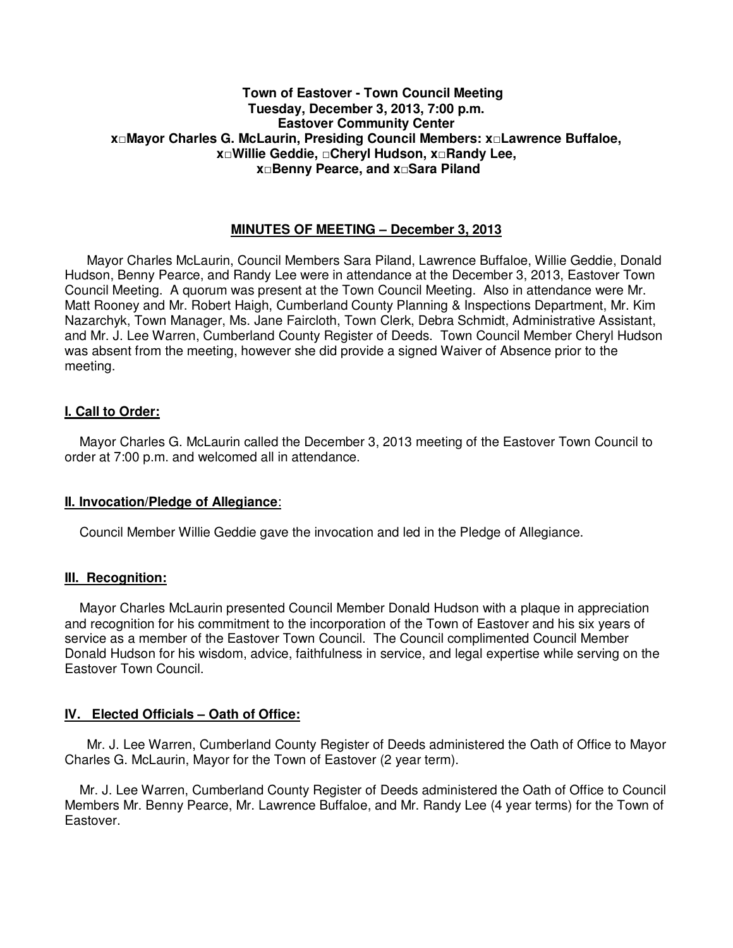#### **Town of Eastover - Town Council Meeting Tuesday, December 3, 2013, 7:00 p.m. Eastover Community Center x□Mayor Charles G. McLaurin, Presiding Council Members: x□Lawrence Buffaloe, x□Willie Geddie, □Cheryl Hudson, x□Randy Lee, x□Benny Pearce, and x□Sara Piland**

### **MINUTES OF MEETING – December 3, 2013**

 Mayor Charles McLaurin, Council Members Sara Piland, Lawrence Buffaloe, Willie Geddie, Donald Hudson, Benny Pearce, and Randy Lee were in attendance at the December 3, 2013, Eastover Town Council Meeting. A quorum was present at the Town Council Meeting. Also in attendance were Mr. Matt Rooney and Mr. Robert Haigh, Cumberland County Planning & Inspections Department, Mr. Kim Nazarchyk, Town Manager, Ms. Jane Faircloth, Town Clerk, Debra Schmidt, Administrative Assistant, and Mr. J. Lee Warren, Cumberland County Register of Deeds. Town Council Member Cheryl Hudson was absent from the meeting, however she did provide a signed Waiver of Absence prior to the meeting.

### **I. Call to Order:**

 Mayor Charles G. McLaurin called the December 3, 2013 meeting of the Eastover Town Council to order at 7:00 p.m. and welcomed all in attendance.

#### **II. Invocation/Pledge of Allegiance**:

Council Member Willie Geddie gave the invocation and led in the Pledge of Allegiance.

#### **III. Recognition:**

 Mayor Charles McLaurin presented Council Member Donald Hudson with a plaque in appreciation and recognition for his commitment to the incorporation of the Town of Eastover and his six years of service as a member of the Eastover Town Council. The Council complimented Council Member Donald Hudson for his wisdom, advice, faithfulness in service, and legal expertise while serving on the Eastover Town Council.

#### **IV. Elected Officials – Oath of Office:**

 Mr. J. Lee Warren, Cumberland County Register of Deeds administered the Oath of Office to Mayor Charles G. McLaurin, Mayor for the Town of Eastover (2 year term).

 Mr. J. Lee Warren, Cumberland County Register of Deeds administered the Oath of Office to Council Members Mr. Benny Pearce, Mr. Lawrence Buffaloe, and Mr. Randy Lee (4 year terms) for the Town of Eastover.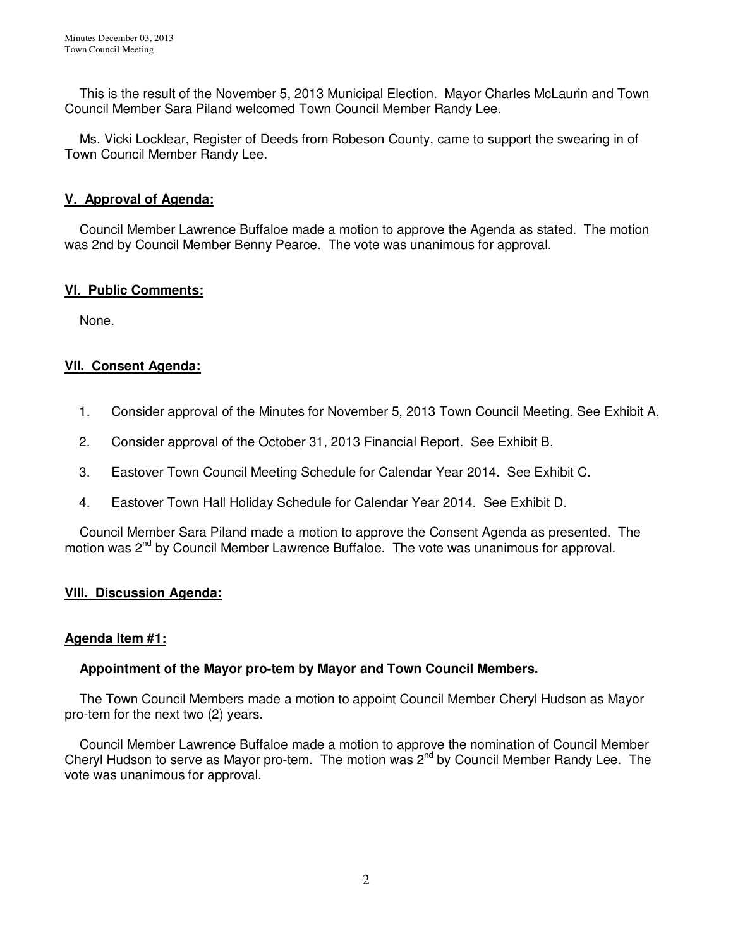This is the result of the November 5, 2013 Municipal Election. Mayor Charles McLaurin and Town Council Member Sara Piland welcomed Town Council Member Randy Lee.

 Ms. Vicki Locklear, Register of Deeds from Robeson County, came to support the swearing in of Town Council Member Randy Lee.

## **V. Approval of Agenda:**

Council Member Lawrence Buffaloe made a motion to approve the Agenda as stated. The motion was 2nd by Council Member Benny Pearce. The vote was unanimous for approval.

## **VI. Public Comments:**

None.

# **VII. Consent Agenda:**

- 1. Consider approval of the Minutes for November 5, 2013 Town Council Meeting. See Exhibit A.
- 2. Consider approval of the October 31, 2013 Financial Report. See Exhibit B.
- 3. Eastover Town Council Meeting Schedule for Calendar Year 2014. See Exhibit C.
- 4. Eastover Town Hall Holiday Schedule for Calendar Year 2014. See Exhibit D.

 Council Member Sara Piland made a motion to approve the Consent Agenda as presented. The motion was  $2^{nd}$  by Council Member Lawrence Buffaloe. The vote was unanimous for approval.

### **VIII. Discussion Agenda:**

### **Agenda Item #1:**

### **Appointment of the Mayor pro-tem by Mayor and Town Council Members.**

 The Town Council Members made a motion to appoint Council Member Cheryl Hudson as Mayor pro-tem for the next two (2) years.

 Council Member Lawrence Buffaloe made a motion to approve the nomination of Council Member Cheryl Hudson to serve as Mayor pro-tem. The motion was  $2^{nd}$  by Council Member Randy Lee. The vote was unanimous for approval.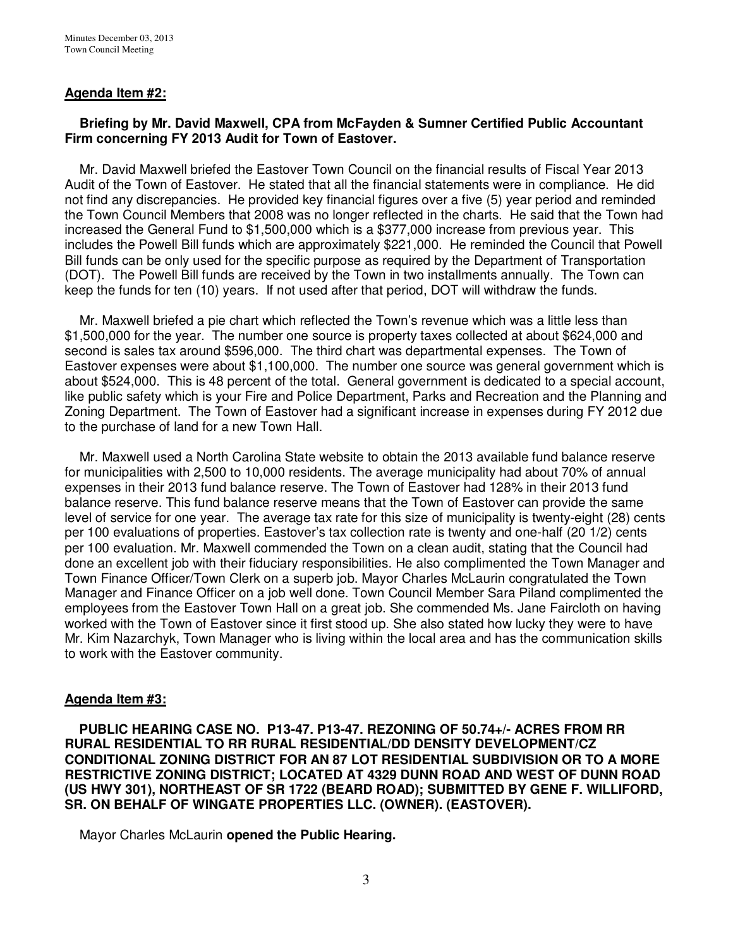### **Agenda Item #2:**

### **Briefing by Mr. David Maxwell, CPA from McFayden & Sumner Certified Public Accountant Firm concerning FY 2013 Audit for Town of Eastover.**

Mr. David Maxwell briefed the Eastover Town Council on the financial results of Fiscal Year 2013 Audit of the Town of Eastover. He stated that all the financial statements were in compliance. He did not find any discrepancies. He provided key financial figures over a five (5) year period and reminded the Town Council Members that 2008 was no longer reflected in the charts. He said that the Town had increased the General Fund to \$1,500,000 which is a \$377,000 increase from previous year. This includes the Powell Bill funds which are approximately \$221,000. He reminded the Council that Powell Bill funds can be only used for the specific purpose as required by the Department of Transportation (DOT). The Powell Bill funds are received by the Town in two installments annually. The Town can keep the funds for ten (10) years. If not used after that period, DOT will withdraw the funds.

 Mr. Maxwell briefed a pie chart which reflected the Town's revenue which was a little less than \$1,500,000 for the year. The number one source is property taxes collected at about \$624,000 and second is sales tax around \$596,000. The third chart was departmental expenses. The Town of Eastover expenses were about \$1,100,000. The number one source was general government which is about \$524,000. This is 48 percent of the total. General government is dedicated to a special account, like public safety which is your Fire and Police Department, Parks and Recreation and the Planning and Zoning Department. The Town of Eastover had a significant increase in expenses during FY 2012 due to the purchase of land for a new Town Hall.

 Mr. Maxwell used a North Carolina State website to obtain the 2013 available fund balance reserve for municipalities with 2,500 to 10,000 residents. The average municipality had about 70% of annual expenses in their 2013 fund balance reserve. The Town of Eastover had 128% in their 2013 fund balance reserve. This fund balance reserve means that the Town of Eastover can provide the same level of service for one year. The average tax rate for this size of municipality is twenty-eight (28) cents per 100 evaluations of properties. Eastover's tax collection rate is twenty and one-half (20 1/2) cents per 100 evaluation. Mr. Maxwell commended the Town on a clean audit, stating that the Council had done an excellent job with their fiduciary responsibilities. He also complimented the Town Manager and Town Finance Officer/Town Clerk on a superb job. Mayor Charles McLaurin congratulated the Town Manager and Finance Officer on a job well done. Town Council Member Sara Piland complimented the employees from the Eastover Town Hall on a great job. She commended Ms. Jane Faircloth on having worked with the Town of Eastover since it first stood up. She also stated how lucky they were to have Mr. Kim Nazarchyk, Town Manager who is living within the local area and has the communication skills to work with the Eastover community.

#### **Agenda Item #3:**

 **PUBLIC HEARING CASE NO. P13-47. P13-47. REZONING OF 50.74+/- ACRES FROM RR RURAL RESIDENTIAL TO RR RURAL RESIDENTIAL/DD DENSITY DEVELOPMENT/CZ CONDITIONAL ZONING DISTRICT FOR AN 87 LOT RESIDENTIAL SUBDIVISION OR TO A MORE RESTRICTIVE ZONING DISTRICT; LOCATED AT 4329 DUNN ROAD AND WEST OF DUNN ROAD (US HWY 301), NORTHEAST OF SR 1722 (BEARD ROAD); SUBMITTED BY GENE F. WILLIFORD, SR. ON BEHALF OF WINGATE PROPERTIES LLC. (OWNER). (EASTOVER).** 

Mayor Charles McLaurin **opened the Public Hearing.**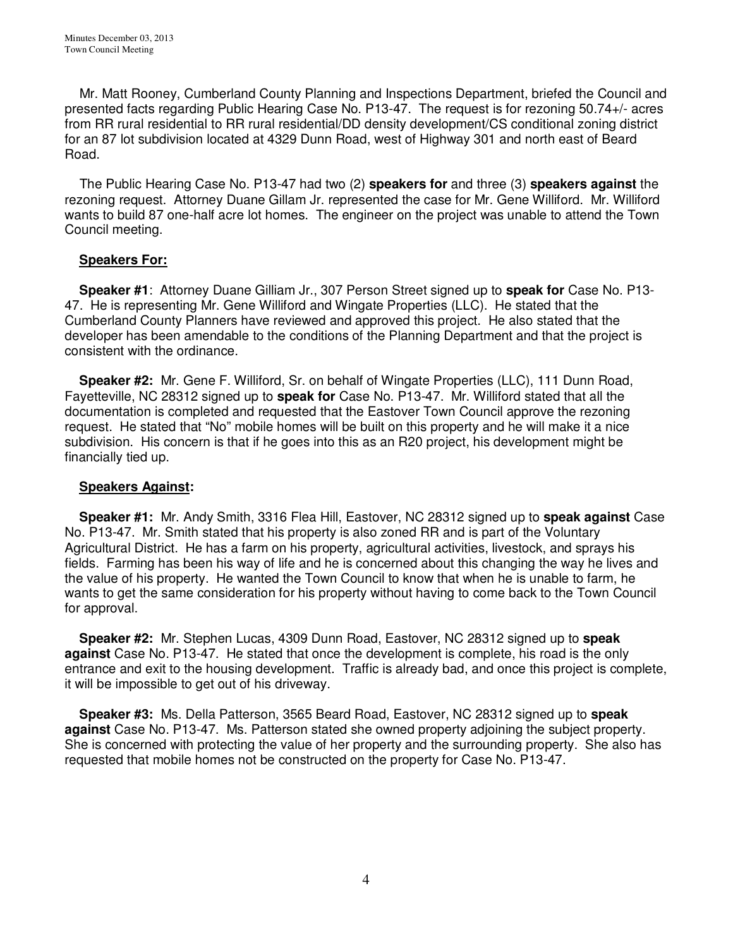Mr. Matt Rooney, Cumberland County Planning and Inspections Department, briefed the Council and presented facts regarding Public Hearing Case No. P13-47. The request is for rezoning 50.74+/- acres from RR rural residential to RR rural residential/DD density development/CS conditional zoning district for an 87 lot subdivision located at 4329 Dunn Road, west of Highway 301 and north east of Beard Road.

 The Public Hearing Case No. P13-47 had two (2) **speakers for** and three (3) **speakers against** the rezoning request. Attorney Duane Gillam Jr. represented the case for Mr. Gene Williford. Mr. Williford wants to build 87 one-half acre lot homes. The engineer on the project was unable to attend the Town Council meeting.

## **Speakers For:**

 **Speaker #1**: Attorney Duane Gilliam Jr., 307 Person Street signed up to **speak for** Case No. P13- 47. He is representing Mr. Gene Williford and Wingate Properties (LLC). He stated that the Cumberland County Planners have reviewed and approved this project. He also stated that the developer has been amendable to the conditions of the Planning Department and that the project is consistent with the ordinance.

 **Speaker #2:** Mr. Gene F. Williford, Sr. on behalf of Wingate Properties (LLC), 111 Dunn Road, Fayetteville, NC 28312 signed up to **speak for** Case No. P13-47. Mr. Williford stated that all the documentation is completed and requested that the Eastover Town Council approve the rezoning request. He stated that "No" mobile homes will be built on this property and he will make it a nice subdivision. His concern is that if he goes into this as an R20 project, his development might be financially tied up.

### **Speakers Against:**

 **Speaker #1:** Mr. Andy Smith, 3316 Flea Hill, Eastover, NC 28312 signed up to **speak against** Case No. P13-47. Mr. Smith stated that his property is also zoned RR and is part of the Voluntary Agricultural District. He has a farm on his property, agricultural activities, livestock, and sprays his fields. Farming has been his way of life and he is concerned about this changing the way he lives and the value of his property. He wanted the Town Council to know that when he is unable to farm, he wants to get the same consideration for his property without having to come back to the Town Council for approval.

 **Speaker #2:** Mr. Stephen Lucas, 4309 Dunn Road, Eastover, NC 28312 signed up to **speak against** Case No. P13-47. He stated that once the development is complete, his road is the only entrance and exit to the housing development. Traffic is already bad, and once this project is complete, it will be impossible to get out of his driveway.

 **Speaker #3:** Ms. Della Patterson, 3565 Beard Road, Eastover, NC 28312 signed up to **speak against** Case No. P13-47. Ms. Patterson stated she owned property adjoining the subject property. She is concerned with protecting the value of her property and the surrounding property. She also has requested that mobile homes not be constructed on the property for Case No. P13-47.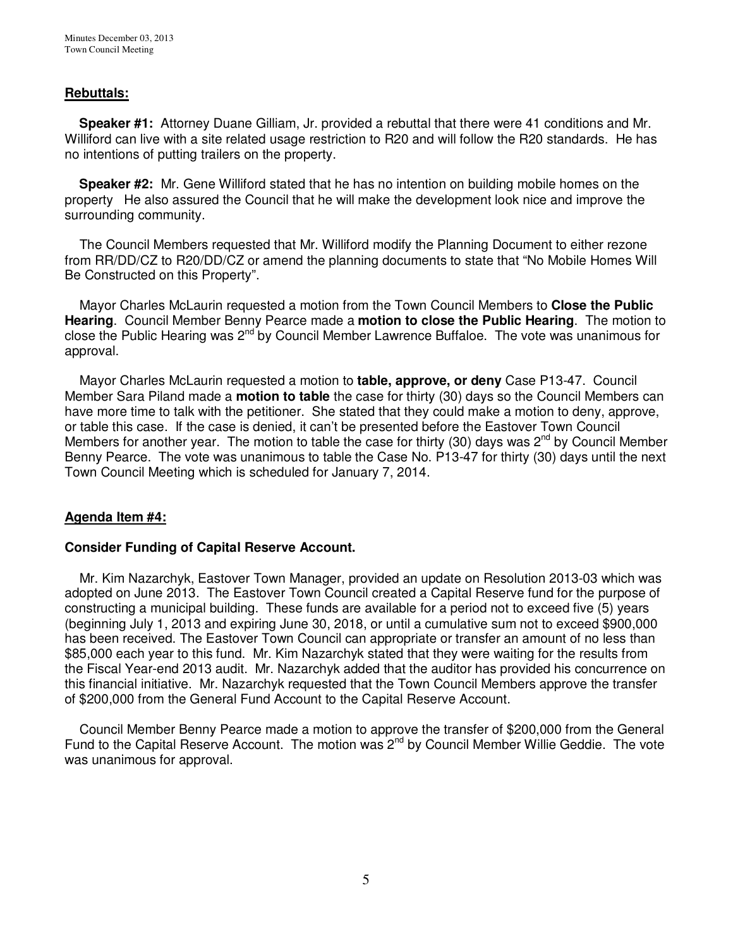## **Rebuttals:**

 **Speaker #1:** Attorney Duane Gilliam, Jr. provided a rebuttal that there were 41 conditions and Mr. Williford can live with a site related usage restriction to R20 and will follow the R20 standards. He has no intentions of putting trailers on the property.

 **Speaker #2:** Mr. Gene Williford stated that he has no intention on building mobile homes on the property He also assured the Council that he will make the development look nice and improve the surrounding community.

 The Council Members requested that Mr. Williford modify the Planning Document to either rezone from RR/DD/CZ to R20/DD/CZ or amend the planning documents to state that "No Mobile Homes Will Be Constructed on this Property".

Mayor Charles McLaurin requested a motion from the Town Council Members to **Close the Public Hearing**.Council Member Benny Pearce made a **motion to close the Public Hearing**. The motion to close the Public Hearing was 2nd by Council Member Lawrence Buffaloe. The vote was unanimous for approval.

 Mayor Charles McLaurin requested a motion to **table, approve, or deny** Case P13-47. Council Member Sara Piland made a **motion to table** the case for thirty (30) days so the Council Members can have more time to talk with the petitioner. She stated that they could make a motion to deny, approve, or table this case. If the case is denied, it can't be presented before the Eastover Town Council Members for another year. The motion to table the case for thirty (30) days was  $2^{nd}$  by Council Member Benny Pearce. The vote was unanimous to table the Case No. P13-47 for thirty (30) days until the next Town Council Meeting which is scheduled for January 7, 2014.

### **Agenda Item #4:**

### **Consider Funding of Capital Reserve Account.**

Mr. Kim Nazarchyk, Eastover Town Manager, provided an update on Resolution 2013-03 which was adopted on June 2013. The Eastover Town Council created a Capital Reserve fund for the purpose of constructing a municipal building. These funds are available for a period not to exceed five (5) years (beginning July 1, 2013 and expiring June 30, 2018, or until a cumulative sum not to exceed \$900,000 has been received. The Eastover Town Council can appropriate or transfer an amount of no less than \$85,000 each year to this fund. Mr. Kim Nazarchyk stated that they were waiting for the results from the Fiscal Year-end 2013 audit. Mr. Nazarchyk added that the auditor has provided his concurrence on this financial initiative. Mr. Nazarchyk requested that the Town Council Members approve the transfer of \$200,000 from the General Fund Account to the Capital Reserve Account.

 Council Member Benny Pearce made a motion to approve the transfer of \$200,000 from the General Fund to the Capital Reserve Account. The motion was  $2^{nd}$  by Council Member Willie Geddie. The vote was unanimous for approval.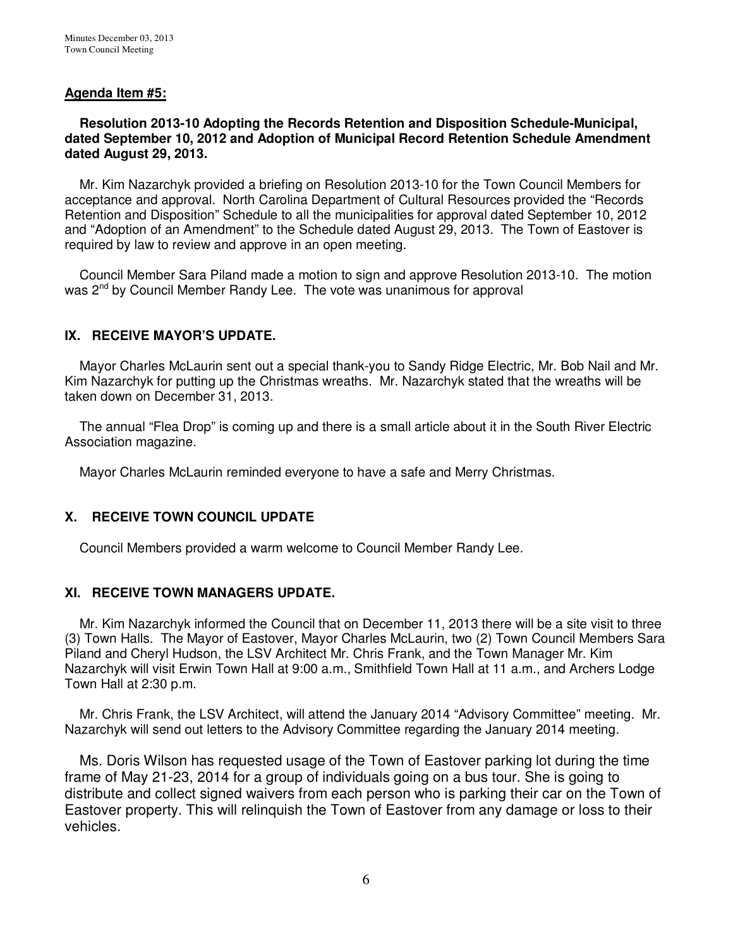### **Agenda Item #5:**

### **Resolution 2013-10 Adopting the Records Retention and Disposition Schedule-Municipal, dated September 10, 2012 and Adoption of Municipal Record Retention Schedule Amendment dated August 29, 2013.**

Mr. Kim Nazarchyk provided a briefing on Resolution 2013-10 for the Town Council Members for acceptance and approval. North Carolina Department of Cultural Resources provided the "Records Retention and Disposition" Schedule to all the municipalities for approval dated September 10, 2012 and "Adoption of an Amendment" to the Schedule dated August 29, 2013. The Town of Eastover is required by law to review and approve in an open meeting.

 Council Member Sara Piland made a motion to sign and approve Resolution 2013-10. The motion was 2<sup>nd</sup> by Council Member Randy Lee. The vote was unanimous for approval

### **IX. RECEIVE MAYOR'S UPDATE.**

 Mayor Charles McLaurin sent out a special thank-you to Sandy Ridge Electric, Mr. Bob Nail and Mr. Kim Nazarchyk for putting up the Christmas wreaths. Mr. Nazarchyk stated that the wreaths will be taken down on December 31, 2013.

 The annual "Flea Drop" is coming up and there is a small article about it in the South River Electric Association magazine.

Mayor Charles McLaurin reminded everyone to have a safe and Merry Christmas.

### **X. RECEIVE TOWN COUNCIL UPDATE**

Council Members provided a warm welcome to Council Member Randy Lee.

#### **XI. RECEIVE TOWN MANAGERS UPDATE.**

 Mr. Kim Nazarchyk informed the Council that on December 11, 2013 there will be a site visit to three (3) Town Halls. The Mayor of Eastover, Mayor Charles McLaurin, two (2) Town Council Members Sara Piland and Cheryl Hudson, the LSV Architect Mr. Chris Frank, and the Town Manager Mr. Kim Nazarchyk will visit Erwin Town Hall at 9:00 a.m., Smithfield Town Hall at 11 a.m., and Archers Lodge Town Hall at 2:30 p.m.

 Mr. Chris Frank, the LSV Architect, will attend the January 2014 "Advisory Committee" meeting. Mr. Nazarchyk will send out letters to the Advisory Committee regarding the January 2014 meeting.

 Ms. Doris Wilson has requested usage of the Town of Eastover parking lot during the time frame of May 21-23, 2014 for a group of individuals going on a bus tour. She is going to distribute and collect signed waivers from each person who is parking their car on the Town of Eastover property. This will relinquish the Town of Eastover from any damage or loss to their vehicles.